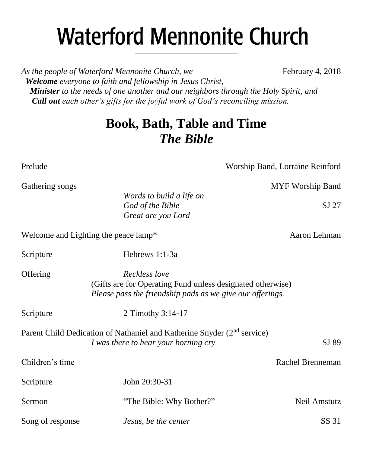# **Waterford Mennonite Church** \_\_\_\_\_\_\_\_\_\_\_\_\_\_\_\_\_\_\_\_\_\_\_\_

As the people of Waterford Mennonite Church, we February 4, 2018  *Welcome everyone to faith and fellowship in Jesus Christ, Minister to the needs of one another and our neighbors through the Holy Spirit, and Call out each other's gifts for the joyful work of God's reconciling mission.*

## **Book, Bath, Table and Time** *The Bible*

Prelude Worship Band, Lorraine Reinford

Welcome and Lighting the peace lamp\* Aaron Lehman

| $\mathsf{D}\mathsf{C}\mathsf{L}\mathsf{P}\mathsf{C}\mathsf{C}\mathsf{L}\mathsf{C}$ |                                                                                                                                          |                  |
|------------------------------------------------------------------------------------|------------------------------------------------------------------------------------------------------------------------------------------|------------------|
| Offering                                                                           | Reckless love<br>(Gifts are for Operating Fund unless designated otherwise)<br>Please pass the friendship pads as we give our offerings. |                  |
| Scripture                                                                          | 2 Timothy 3:14-17                                                                                                                        |                  |
|                                                                                    | Parent Child Dedication of Nathaniel and Katherine Snyder (2 <sup>nd</sup> service)<br>I was there to hear your borning cry              | SJ 89            |
| Children's time                                                                    |                                                                                                                                          | Rachel Brenneman |
| Scripture                                                                          | John 20:30-31                                                                                                                            |                  |
| Sermon                                                                             | "The Bible: Why Bother?"                                                                                                                 | Neil Amstutz     |
| Song of response                                                                   | Jesus, be the center                                                                                                                     | SS 31            |

Gathering songs and the state of the state of the MYF Worship Band *Words to build a life on*

*God of the Bible* SJ 27 *Great are you Lord*

Scripture Hebrews 1:1-3a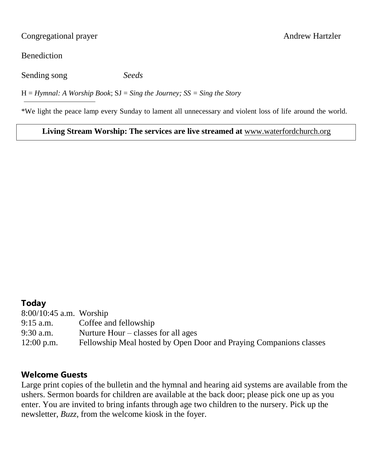Congregational prayer Andrew Hartzler

**Benediction** 

Sending song *Seeds*

H = *Hymnal: A Worship Book*; SJ = *Sing the Journey; SS = Sing the Story*

\*We light the peace lamp every Sunday to lament all unnecessary and violent loss of life around the world.

## **Living Stream Worship: The services are live streamed at** [www.waterfordchurch.org](http://www.waterfordchurch.org/)

## **Today**

| $8:00/10:45$ a.m. Worship |                                                                    |
|---------------------------|--------------------------------------------------------------------|
| $9:15$ a.m.               | Coffee and fellowship                                              |
| $9:30$ a.m.               | Nurture Hour $-\text{classes}$ for all ages                        |
| $12:00$ p.m.              | Fellowship Meal hosted by Open Door and Praying Companions classes |

## **Welcome Guests**

Large print copies of the bulletin and the hymnal and hearing aid systems are available from the ushers. Sermon boards for children are available at the back door; please pick one up as you enter. You are invited to bring infants through age two children to the nursery. Pick up the newsletter, *Buzz,* from the welcome kiosk in the foyer.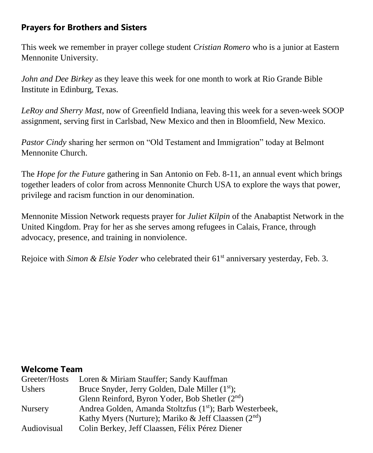## **Prayers for Brothers and Sisters**

This week we remember in prayer college student *Cristian Romero* who is a junior at Eastern Mennonite University.

*John and Dee Birkey* as they leave this week for one month to work at Rio Grande Bible Institute in Edinburg, Texas.

*LeRoy and Sherry Mast,* now of Greenfield Indiana, leaving this week for a seven-week SOOP assignment, serving first in Carlsbad, New Mexico and then in Bloomfield, New Mexico.

*Pastor Cindy* sharing her sermon on "Old Testament and Immigration" today at Belmont Mennonite Church.

The *Hope for the Future* gathering in San Antonio on Feb. 8-11, an annual event which brings together leaders of color from across Mennonite Church USA to explore the ways that power, privilege and racism function in our denomination.

Mennonite Mission Network requests prayer for *Juliet Kilpin* of the Anabaptist Network in the United Kingdom. Pray for her as she serves among refugees in Calais, France, through advocacy, presence, and training in nonviolence.

Rejoice with *Simon & Elsie Yoder* who celebrated their 61<sup>st</sup> anniversary yesterday, Feb. 3.

#### **Welcome Team**

| Greeter/Hosts  | Loren & Miriam Stauffer; Sandy Kauffman                              |  |  |
|----------------|----------------------------------------------------------------------|--|--|
| <b>Ushers</b>  | Bruce Snyder, Jerry Golden, Dale Miller (1 <sup>st</sup> );          |  |  |
|                | Glenn Reinford, Byron Yoder, Bob Shetler $(2nd)$                     |  |  |
| <b>Nursery</b> | Andrea Golden, Amanda Stoltzfus (1 <sup>st</sup> ); Barb Westerbeek, |  |  |
|                | Kathy Myers (Nurture); Mariko & Jeff Claassen $(2^{nd})$             |  |  |
| Audiovisual    | Colin Berkey, Jeff Claassen, Félix Pérez Diener                      |  |  |